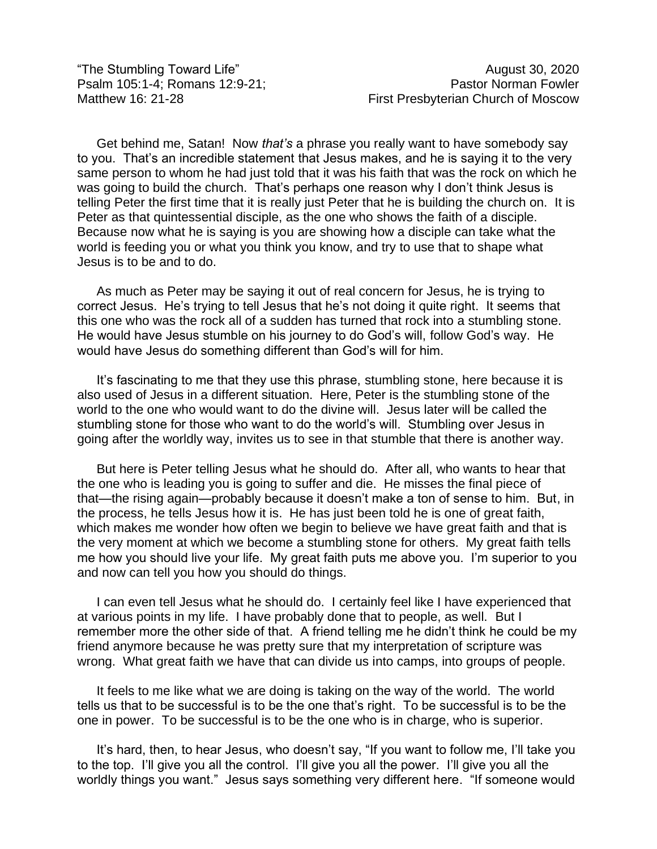"The Stumbling Toward Life" August 30, 2020

Get behind me, Satan! Now *that's* a phrase you really want to have somebody say to you. That's an incredible statement that Jesus makes, and he is saying it to the very same person to whom he had just told that it was his faith that was the rock on which he was going to build the church. That's perhaps one reason why I don't think Jesus is telling Peter the first time that it is really just Peter that he is building the church on. It is Peter as that quintessential disciple, as the one who shows the faith of a disciple. Because now what he is saying is you are showing how a disciple can take what the world is feeding you or what you think you know, and try to use that to shape what Jesus is to be and to do.

As much as Peter may be saying it out of real concern for Jesus, he is trying to correct Jesus. He's trying to tell Jesus that he's not doing it quite right. It seems that this one who was the rock all of a sudden has turned that rock into a stumbling stone. He would have Jesus stumble on his journey to do God's will, follow God's way. He would have Jesus do something different than God's will for him.

It's fascinating to me that they use this phrase, stumbling stone, here because it is also used of Jesus in a different situation. Here, Peter is the stumbling stone of the world to the one who would want to do the divine will. Jesus later will be called the stumbling stone for those who want to do the world's will. Stumbling over Jesus in going after the worldly way, invites us to see in that stumble that there is another way.

But here is Peter telling Jesus what he should do. After all, who wants to hear that the one who is leading you is going to suffer and die. He misses the final piece of that—the rising again—probably because it doesn't make a ton of sense to him. But, in the process, he tells Jesus how it is. He has just been told he is one of great faith, which makes me wonder how often we begin to believe we have great faith and that is the very moment at which we become a stumbling stone for others. My great faith tells me how you should live your life. My great faith puts me above you. I'm superior to you and now can tell you how you should do things.

I can even tell Jesus what he should do. I certainly feel like I have experienced that at various points in my life. I have probably done that to people, as well. But I remember more the other side of that. A friend telling me he didn't think he could be my friend anymore because he was pretty sure that my interpretation of scripture was wrong. What great faith we have that can divide us into camps, into groups of people.

It feels to me like what we are doing is taking on the way of the world. The world tells us that to be successful is to be the one that's right. To be successful is to be the one in power. To be successful is to be the one who is in charge, who is superior.

It's hard, then, to hear Jesus, who doesn't say, "If you want to follow me, I'll take you to the top. I'll give you all the control. I'll give you all the power. I'll give you all the worldly things you want." Jesus says something very different here. "If someone would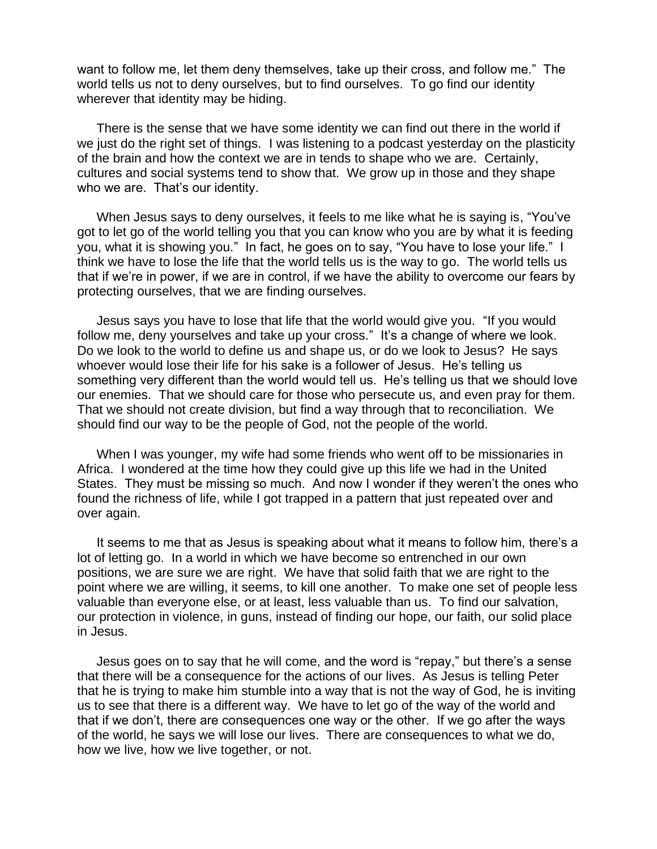want to follow me, let them deny themselves, take up their cross, and follow me." The world tells us not to deny ourselves, but to find ourselves. To go find our identity wherever that identity may be hiding.

There is the sense that we have some identity we can find out there in the world if we just do the right set of things. I was listening to a podcast yesterday on the plasticity of the brain and how the context we are in tends to shape who we are. Certainly, cultures and social systems tend to show that. We grow up in those and they shape who we are. That's our identity.

When Jesus says to deny ourselves, it feels to me like what he is saying is, "You've got to let go of the world telling you that you can know who you are by what it is feeding you, what it is showing you." In fact, he goes on to say, "You have to lose your life." I think we have to lose the life that the world tells us is the way to go. The world tells us that if we're in power, if we are in control, if we have the ability to overcome our fears by protecting ourselves, that we are finding ourselves.

Jesus says you have to lose that life that the world would give you. "If you would follow me, deny yourselves and take up your cross." It's a change of where we look. Do we look to the world to define us and shape us, or do we look to Jesus? He says whoever would lose their life for his sake is a follower of Jesus. He's telling us something very different than the world would tell us. He's telling us that we should love our enemies. That we should care for those who persecute us, and even pray for them. That we should not create division, but find a way through that to reconciliation. We should find our way to be the people of God, not the people of the world.

When I was younger, my wife had some friends who went off to be missionaries in Africa. I wondered at the time how they could give up this life we had in the United States. They must be missing so much. And now I wonder if they weren't the ones who found the richness of life, while I got trapped in a pattern that just repeated over and over again.

It seems to me that as Jesus is speaking about what it means to follow him, there's a lot of letting go. In a world in which we have become so entrenched in our own positions, we are sure we are right. We have that solid faith that we are right to the point where we are willing, it seems, to kill one another. To make one set of people less valuable than everyone else, or at least, less valuable than us. To find our salvation, our protection in violence, in guns, instead of finding our hope, our faith, our solid place in Jesus.

Jesus goes on to say that he will come, and the word is "repay," but there's a sense that there will be a consequence for the actions of our lives. As Jesus is telling Peter that he is trying to make him stumble into a way that is not the way of God, he is inviting us to see that there is a different way. We have to let go of the way of the world and that if we don't, there are consequences one way or the other. If we go after the ways of the world, he says we will lose our lives. There are consequences to what we do, how we live, how we live together, or not.